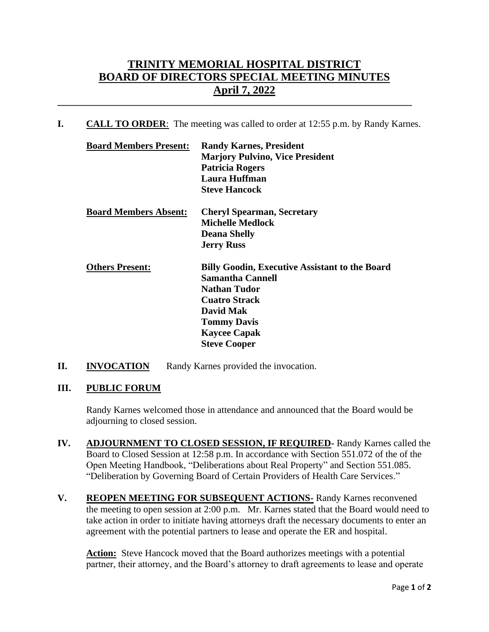## **TRINITY MEMORIAL HOSPITAL DISTRICT BOARD OF DIRECTORS SPECIAL MEETING MINUTES April 7, 2022**

**I. CALL TO ORDER**: The meeting was called to order at 12:55 p.m. by Randy Karnes.

**\_\_\_\_\_\_\_\_\_\_\_\_\_\_\_\_\_\_\_\_\_\_\_\_\_\_\_\_\_\_\_\_\_\_\_\_\_\_\_\_\_\_\_\_\_\_\_\_\_\_\_\_\_\_\_\_\_\_\_\_\_\_\_\_\_\_\_\_\_\_\_\_\_\_**

| <b>Board Members Present:</b> | <b>Randy Karnes, President</b>                        |
|-------------------------------|-------------------------------------------------------|
|                               | <b>Marjory Pulvino, Vice President</b>                |
|                               | <b>Patricia Rogers</b>                                |
|                               | Laura Huffman                                         |
|                               | <b>Steve Hancock</b>                                  |
| <b>Board Members Absent:</b>  | <b>Cheryl Spearman, Secretary</b>                     |
|                               | <b>Michelle Medlock</b>                               |
|                               | <b>Deana Shelly</b>                                   |
|                               | <b>Jerry Russ</b>                                     |
| <b>Others Present:</b>        | <b>Billy Goodin, Executive Assistant to the Board</b> |
|                               | <b>Samantha Cannell</b>                               |
|                               | <b>Nathan Tudor</b>                                   |
|                               | <b>Cuatro Strack</b>                                  |
|                               | David Mak                                             |
|                               | <b>Tommy Davis</b>                                    |
|                               | <b>Kaycee Capak</b>                                   |
|                               | <b>Steve Cooper</b>                                   |
|                               |                                                       |

## **II. INVOCATION** Randy Karnes provided the invocation.

## **III. PUBLIC FORUM**

Randy Karnes welcomed those in attendance and announced that the Board would be adjourning to closed session.

- **IV. ADJOURNMENT TO CLOSED SESSION, IF REQUIRED-** Randy Karnes called the Board to Closed Session at 12:58 p.m. In accordance with Section 551.072 of the of the Open Meeting Handbook, "Deliberations about Real Property" and Section 551.085. "Deliberation by Governing Board of Certain Providers of Health Care Services."
- **V. REOPEN MEETING FOR SUBSEQUENT ACTIONS-** Randy Karnes reconvened the meeting to open session at 2:00 p.m. Mr. Karnes stated that the Board would need to take action in order to initiate having attorneys draft the necessary documents to enter an agreement with the potential partners to lease and operate the ER and hospital.

**Action:** Steve Hancock moved that the Board authorizes meetings with a potential partner, their attorney, and the Board's attorney to draft agreements to lease and operate